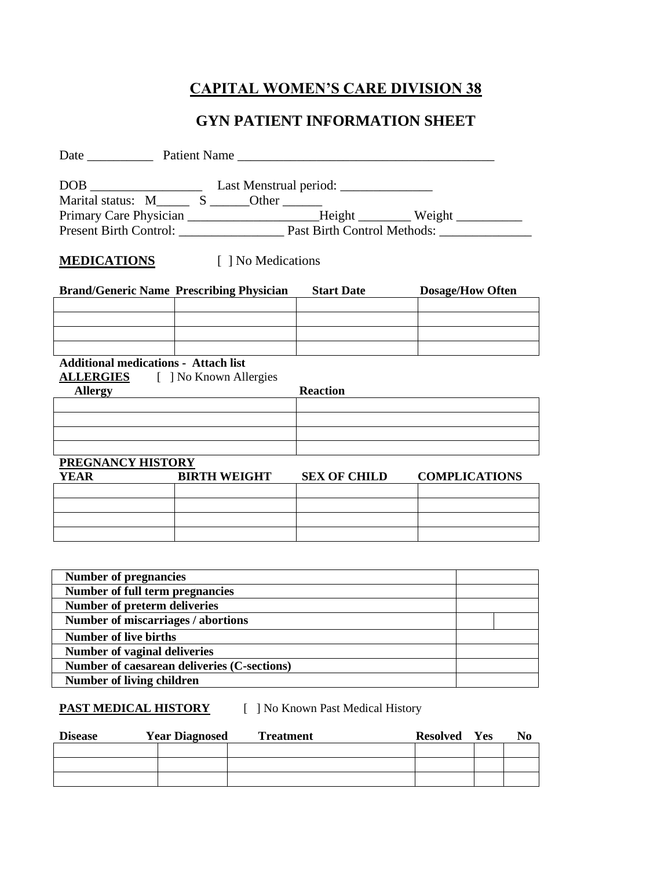# **CAPITAL WOMEN'S CARE DIVISION 38**

### **GYN PATIENT INFORMATION SHEET**

|                                                                                        | Primary Care Physician _________________________Height ___________ Weight ________ |                     |                         |  |
|----------------------------------------------------------------------------------------|------------------------------------------------------------------------------------|---------------------|-------------------------|--|
|                                                                                        | Present Birth Control: Past Birth Control Methods:                                 |                     |                         |  |
|                                                                                        |                                                                                    |                     |                         |  |
|                                                                                        | <b>MEDICATIONS</b> [ ] No Medications                                              |                     |                         |  |
|                                                                                        | <b>Brand/Generic Name Prescribing Physician</b>                                    | <b>Start Date</b>   | <b>Dosage/How Often</b> |  |
|                                                                                        |                                                                                    |                     |                         |  |
|                                                                                        |                                                                                    |                     |                         |  |
|                                                                                        |                                                                                    |                     |                         |  |
| <b>Additional medications - Attach list</b><br><b>ALLERGIES</b> [ ] No Known Allergies |                                                                                    |                     |                         |  |
| <b>Allergy</b>                                                                         |                                                                                    | <b>Reaction</b>     |                         |  |
|                                                                                        |                                                                                    |                     |                         |  |
|                                                                                        |                                                                                    |                     |                         |  |
|                                                                                        |                                                                                    |                     |                         |  |
| <b>PREGNANCY HISTORY</b>                                                               |                                                                                    |                     |                         |  |
| YEAR                                                                                   | <b>BIRTH WEIGHT</b>                                                                | <b>SEX OF CHILD</b> | <b>COMPLICATIONS</b>    |  |
|                                                                                        |                                                                                    |                     |                         |  |
|                                                                                        |                                                                                    |                     |                         |  |
|                                                                                        |                                                                                    |                     |                         |  |
|                                                                                        |                                                                                    |                     |                         |  |
|                                                                                        |                                                                                    |                     |                         |  |
| <b>Number</b> of pregnancies                                                           |                                                                                    |                     |                         |  |
| Number of full term pregnancies                                                        |                                                                                    |                     |                         |  |
| <b>Number of preterm deliveries</b>                                                    |                                                                                    |                     |                         |  |
| Number of miscarriages / abortions                                                     |                                                                                    |                     |                         |  |
| <b>Number of live births</b>                                                           |                                                                                    |                     |                         |  |
| <b>Number of vaginal deliveries</b>                                                    |                                                                                    |                     |                         |  |
| <b>Number of living children</b>                                                       | Number of caesarean deliveries (C-sections)                                        |                     |                         |  |
|                                                                                        |                                                                                    |                     |                         |  |

#### **PAST MEDICAL HISTORY** [ ] No Known Past Medical History

| <b>Disease</b> | <b>Year Diagnosed</b> | <b>Treatment</b> | <b>Resolved</b> Yes | No |
|----------------|-----------------------|------------------|---------------------|----|
|                |                       |                  |                     |    |
|                |                       |                  |                     |    |
|                |                       |                  |                     |    |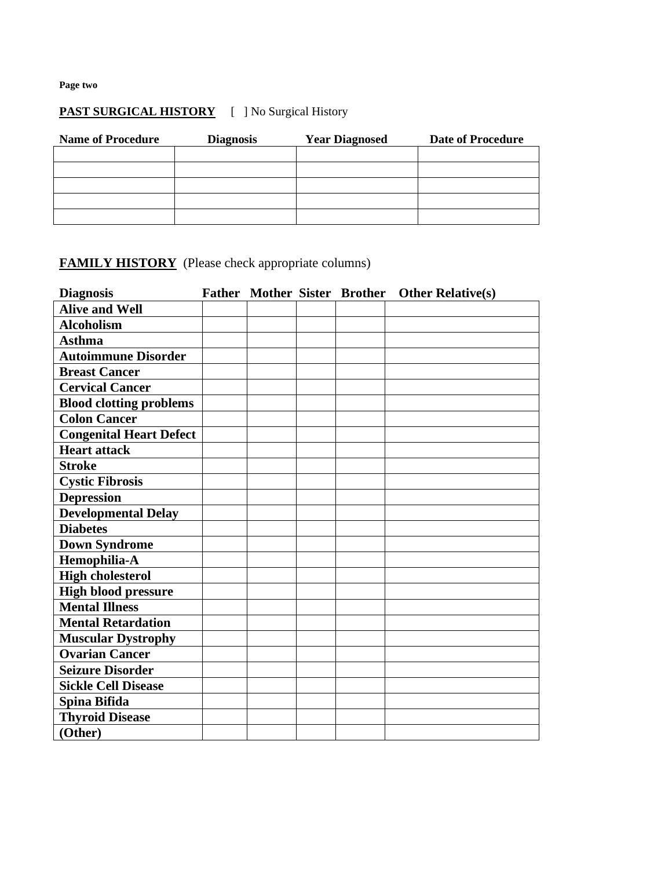**Page two**

## **PAST SURGICAL HISTORY** [ ] No Surgical History

| <b>Name of Procedure</b> | <b>Diagnosis</b> | <b>Year Diagnosed</b> | <b>Date of Procedure</b> |
|--------------------------|------------------|-----------------------|--------------------------|
|                          |                  |                       |                          |
|                          |                  |                       |                          |
|                          |                  |                       |                          |
|                          |                  |                       |                          |
|                          |                  |                       |                          |

## **FAMILY HISTORY** (Please check appropriate columns)

| <b>Diagnosis</b>               |  |  | Father Mother Sister Brother Other Relative(s) |
|--------------------------------|--|--|------------------------------------------------|
| <b>Alive and Well</b>          |  |  |                                                |
| <b>Alcoholism</b>              |  |  |                                                |
| <b>Asthma</b>                  |  |  |                                                |
| <b>Autoimmune Disorder</b>     |  |  |                                                |
| <b>Breast Cancer</b>           |  |  |                                                |
| <b>Cervical Cancer</b>         |  |  |                                                |
| <b>Blood clotting problems</b> |  |  |                                                |
| <b>Colon Cancer</b>            |  |  |                                                |
| <b>Congenital Heart Defect</b> |  |  |                                                |
| <b>Heart attack</b>            |  |  |                                                |
| <b>Stroke</b>                  |  |  |                                                |
| <b>Cystic Fibrosis</b>         |  |  |                                                |
| <b>Depression</b>              |  |  |                                                |
| <b>Developmental Delay</b>     |  |  |                                                |
| <b>Diabetes</b>                |  |  |                                                |
| <b>Down Syndrome</b>           |  |  |                                                |
| Hemophilia-A                   |  |  |                                                |
| <b>High cholesterol</b>        |  |  |                                                |
| <b>High blood pressure</b>     |  |  |                                                |
| <b>Mental Illness</b>          |  |  |                                                |
| <b>Mental Retardation</b>      |  |  |                                                |
| <b>Muscular Dystrophy</b>      |  |  |                                                |
| <b>Ovarian Cancer</b>          |  |  |                                                |
| <b>Seizure Disorder</b>        |  |  |                                                |
| <b>Sickle Cell Disease</b>     |  |  |                                                |
| Spina Bifida                   |  |  |                                                |
| <b>Thyroid Disease</b>         |  |  |                                                |
| (Other)                        |  |  |                                                |